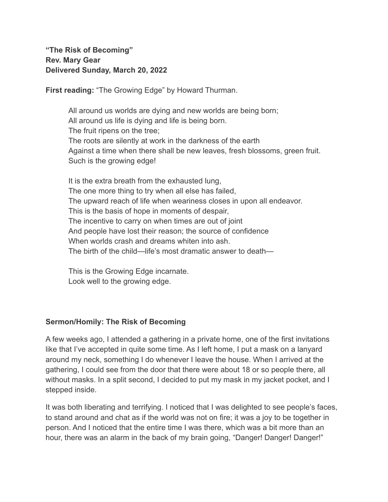**"The Risk of Becoming" Rev. Mary Gear Delivered Sunday, March 20, 2022**

**First reading:** "The Growing Edge" by Howard Thurman.

All around us worlds are dying and new worlds are being born; All around us life is dying and life is being born. The fruit ripens on the tree; The roots are silently at work in the darkness of the earth Against a time when there shall be new leaves, fresh blossoms, green fruit. Such is the growing edge!

It is the extra breath from the exhausted lung, The one more thing to try when all else has failed, The upward reach of life when weariness closes in upon all endeavor. This is the basis of hope in moments of despair, The incentive to carry on when times are out of joint And people have lost their reason; the source of confidence When worlds crash and dreams whiten into ash. The birth of the child—life's most dramatic answer to death—

This is the Growing Edge incarnate. Look well to the growing edge.

## **Sermon/Homily: The Risk of Becoming**

A few weeks ago, I attended a gathering in a private home, one of the first invitations like that I've accepted in quite some time. As I left home, I put a mask on a lanyard around my neck, something I do whenever I leave the house. When I arrived at the gathering, I could see from the door that there were about 18 or so people there, all without masks. In a split second, I decided to put my mask in my jacket pocket, and I stepped inside.

It was both liberating and terrifying. I noticed that I was delighted to see people's faces, to stand around and chat as if the world was not on fire; it was a joy to be together in person. And I noticed that the entire time I was there, which was a bit more than an hour, there was an alarm in the back of my brain going, "Danger! Danger! Danger!"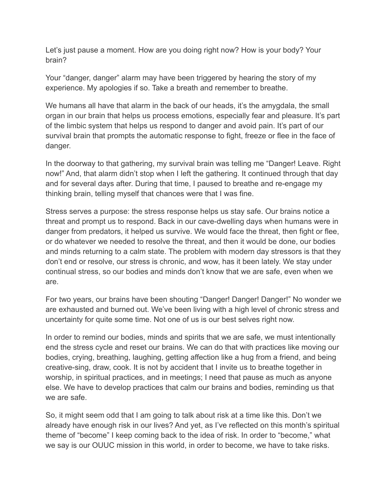Let's just pause a moment. How are you doing right now? How is your body? Your brain?

Your "danger, danger" alarm may have been triggered by hearing the story of my experience. My apologies if so. Take a breath and remember to breathe.

We humans all have that alarm in the back of our heads, it's the amygdala, the small organ in our brain that helps us process emotions, especially fear and pleasure. It's part of the limbic system that helps us respond to danger and avoid pain. It's part of our survival brain that prompts the automatic response to fight, freeze or flee in the face of danger.

In the doorway to that gathering, my survival brain was telling me "Danger! Leave. Right now!" And, that alarm didn't stop when I left the gathering. It continued through that day and for several days after. During that time, I paused to breathe and re-engage my thinking brain, telling myself that chances were that I was fine.

Stress serves a purpose: the stress response helps us stay safe. Our brains notice a threat and prompt us to respond. Back in our cave-dwelling days when humans were in danger from predators, it helped us survive. We would face the threat, then fight or flee, or do whatever we needed to resolve the threat, and then it would be done, our bodies and minds returning to a calm state. The problem with modern day stressors is that they don't end or resolve, our stress is chronic, and wow, has it been lately. We stay under continual stress, so our bodies and minds don't know that we are safe, even when we are.

For two years, our brains have been shouting "Danger! Danger! Danger!" No wonder we are exhausted and burned out. We've been living with a high level of chronic stress and uncertainty for quite some time. Not one of us is our best selves right now.

In order to remind our bodies, minds and spirits that we are safe, we must intentionally end the stress cycle and reset our brains. We can do that with practices like moving our bodies, crying, breathing, laughing, getting affection like a hug from a friend, and being creative-sing, draw, cook. It is not by accident that I invite us to breathe together in worship, in spiritual practices, and in meetings; I need that pause as much as anyone else. We have to develop practices that calm our brains and bodies, reminding us that we are safe.

So, it might seem odd that I am going to talk about risk at a time like this. Don't we already have enough risk in our lives? And yet, as I've reflected on this month's spiritual theme of "become" I keep coming back to the idea of risk. In order to "become," what we say is our OUUC mission in this world, in order to become, we have to take risks.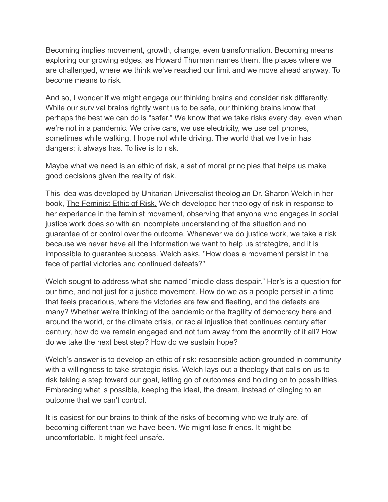Becoming implies movement, growth, change, even transformation. Becoming means exploring our growing edges, as Howard Thurman names them, the places where we are challenged, where we think we've reached our limit and we move ahead anyway. To become means to risk.

And so, I wonder if we might engage our thinking brains and consider risk differently. While our survival brains rightly want us to be safe, our thinking brains know that perhaps the best we can do is "safer." We know that we take risks every day, even when we're not in a pandemic. We drive cars, we use electricity, we use cell phones, sometimes while walking, I hope not while driving. The world that we live in has dangers; it always has. To live is to risk.

Maybe what we need is an ethic of risk, a set of moral principles that helps us make good decisions given the reality of risk.

This idea was developed by Unitarian Universalist theologian Dr. Sharon Welch in her book, The Feminist Ethic of Risk. Welch developed her theology of risk in response to her experience in the feminist movement, observing that anyone who engages in social justice work does so with an incomplete understanding of the situation and no guarantee of or control over the outcome. Whenever we do justice work, we take a risk because we never have all the information we want to help us strategize, and it is impossible to guarantee success. Welch asks, "How does a movement persist in the face of partial victories and continued defeats?"

Welch sought to address what she named "middle class despair." Her's is a question for our time, and not just for a justice movement. How do we as a people persist in a time that feels precarious, where the victories are few and fleeting, and the defeats are many? Whether we're thinking of the pandemic or the fragility of democracy here and around the world, or the climate crisis, or racial injustice that continues century after century, how do we remain engaged and not turn away from the enormity of it all? How do we take the next best step? How do we sustain hope?

Welch's answer is to develop an ethic of risk: responsible action grounded in community with a willingness to take strategic risks. Welch lays out a theology that calls on us to risk taking a step toward our goal, letting go of outcomes and holding on to possibilities. Embracing what is possible, keeping the ideal, the dream, instead of clinging to an outcome that we can't control.

It is easiest for our brains to think of the risks of becoming who we truly are, of becoming different than we have been. We might lose friends. It might be uncomfortable. It might feel unsafe.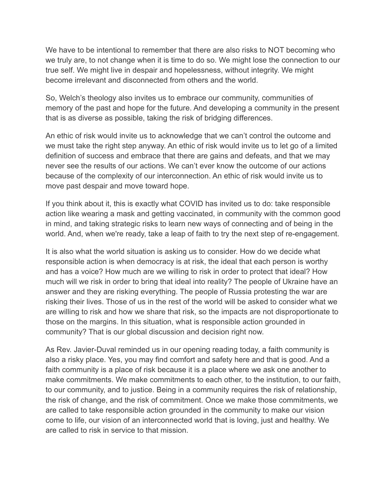We have to be intentional to remember that there are also risks to NOT becoming who we truly are, to not change when it is time to do so. We might lose the connection to our true self. We might live in despair and hopelessness, without integrity. We might become irrelevant and disconnected from others and the world.

So, Welch's theology also invites us to embrace our community, communities of memory of the past and hope for the future. And developing a community in the present that is as diverse as possible, taking the risk of bridging differences.

An ethic of risk would invite us to acknowledge that we can't control the outcome and we must take the right step anyway. An ethic of risk would invite us to let go of a limited definition of success and embrace that there are gains and defeats, and that we may never see the results of our actions. We can't ever know the outcome of our actions because of the complexity of our interconnection. An ethic of risk would invite us to move past despair and move toward hope.

If you think about it, this is exactly what COVID has invited us to do: take responsible action like wearing a mask and getting vaccinated, in community with the common good in mind, and taking strategic risks to learn new ways of connecting and of being in the world. And, when we're ready, take a leap of faith to try the next step of re-engagement.

It is also what the world situation is asking us to consider. How do we decide what responsible action is when democracy is at risk, the ideal that each person is worthy and has a voice? How much are we willing to risk in order to protect that ideal? How much will we risk in order to bring that ideal into reality? The people of Ukraine have an answer and they are risking everything. The people of Russia protesting the war are risking their lives. Those of us in the rest of the world will be asked to consider what we are willing to risk and how we share that risk, so the impacts are not disproportionate to those on the margins. In this situation, what is responsible action grounded in community? That is our global discussion and decision right now.

As Rev. Javier-Duval reminded us in our opening reading today, a faith community is also a risky place. Yes, you may find comfort and safety here and that is good. And a faith community is a place of risk because it is a place where we ask one another to make commitments. We make commitments to each other, to the institution, to our faith, to our community, and to justice. Being in a community requires the risk of relationship, the risk of change, and the risk of commitment. Once we make those commitments, we are called to take responsible action grounded in the community to make our vision come to life, our vision of an interconnected world that is loving, just and healthy. We are called to risk in service to that mission.